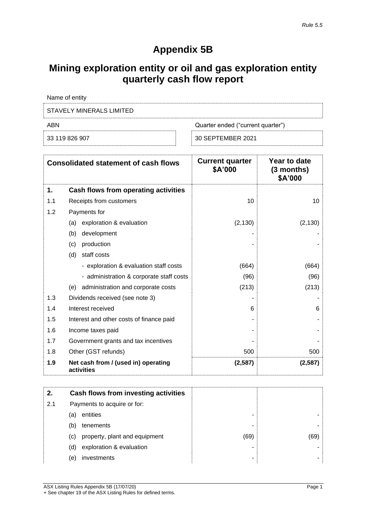# **Appendix 5B**

# **Mining exploration entity or oil and gas exploration entity quarterly cash flow report**

| ABN                      | Quarter ended ("current quarter") |
|--------------------------|-----------------------------------|
| STAVELY MINERALS LIMITED |                                   |
| Name of entity           |                                   |

30 SEPTEMBER 2021

|     | <b>Consolidated statement of cash flows</b>       | <b>Current quarter</b><br>\$A'000 | Year to date<br>$(3$ months)<br>\$A'000 |
|-----|---------------------------------------------------|-----------------------------------|-----------------------------------------|
| 1.  | Cash flows from operating activities              |                                   |                                         |
| 1.1 | Receipts from customers                           | 10                                | 10                                      |
| 1.2 | Payments for                                      |                                   |                                         |
|     | exploration & evaluation<br>(a)                   | (2, 130)                          | (2, 130)                                |
|     | (b)<br>development                                |                                   |                                         |
|     | production<br>(c)                                 |                                   |                                         |
|     | staff costs<br>(d)                                |                                   |                                         |
|     | - exploration & evaluation staff costs            | (664)                             | (664)                                   |
|     | - administration & corporate staff costs          | (96)                              | (96)                                    |
|     | administration and corporate costs<br>(e)         | (213)                             | (213)                                   |
| 1.3 | Dividends received (see note 3)                   |                                   |                                         |
| 1.4 | Interest received                                 | 6                                 | 6                                       |
| 1.5 | Interest and other costs of finance paid          |                                   |                                         |
| 1.6 | Income taxes paid                                 |                                   |                                         |
| 1.7 | Government grants and tax incentives              |                                   |                                         |
| 1.8 | Other (GST refunds)                               | 500                               | 500                                     |
| 1.9 | Net cash from / (used in) operating<br>activities | (2,587)                           | (2,587)                                 |

| 2.  | Cash flows from investing activities |      |     |
|-----|--------------------------------------|------|-----|
| 2.1 | Payments to acquire or for:          |      |     |
|     | entities<br>(a)                      | -    |     |
|     | tenements<br>(b)                     | -    |     |
|     | property, plant and equipment<br>(c) | (69) | (69 |
|     | exploration & evaluation<br>(d)      | -    |     |
|     | investments<br>(e)                   | -    |     |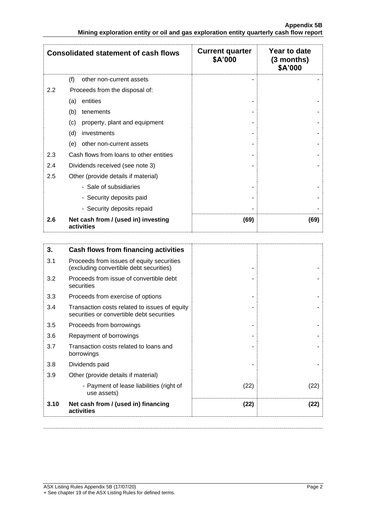|     | <b>Consolidated statement of cash flows</b>       | <b>Current quarter</b><br>\$A'000 | Year to date<br>$(3$ months)<br>\$A'000 |
|-----|---------------------------------------------------|-----------------------------------|-----------------------------------------|
|     | (f)<br>other non-current assets                   |                                   |                                         |
| 2.2 | Proceeds from the disposal of:                    |                                   |                                         |
|     | entities<br>(a)                                   |                                   |                                         |
|     | (b)<br>tenements                                  |                                   |                                         |
|     | property, plant and equipment<br>(c)              |                                   |                                         |
|     | (d)<br>investments                                |                                   |                                         |
|     | (e)<br>other non-current assets                   |                                   |                                         |
| 2.3 | Cash flows from loans to other entities           |                                   |                                         |
| 2.4 | Dividends received (see note 3)                   |                                   |                                         |
| 2.5 | Other (provide details if material)               |                                   |                                         |
|     | - Sale of subsidiaries                            |                                   |                                         |
|     | - Security deposits paid                          |                                   |                                         |
|     | - Security deposits repaid                        |                                   |                                         |
| 2.6 | Net cash from / (used in) investing<br>activities | (69)                              | (69)                                    |

| 3.   | Cash flows from financing activities                                                       |      |      |
|------|--------------------------------------------------------------------------------------------|------|------|
| 3.1  | Proceeds from issues of equity securities<br>(excluding convertible debt securities)       |      |      |
| 3.2  | Proceeds from issue of convertible debt<br>securities                                      |      |      |
| 3.3  | Proceeds from exercise of options                                                          |      |      |
| 3.4  | Transaction costs related to issues of equity<br>securities or convertible debt securities |      |      |
| 3.5  | Proceeds from borrowings                                                                   |      |      |
| 3.6  | Repayment of borrowings                                                                    |      |      |
| 3.7  | Transaction costs related to loans and<br>borrowings                                       |      |      |
| 3.8  | Dividends paid                                                                             |      |      |
| 3.9  | Other (provide details if material)                                                        |      |      |
|      | - Payment of lease liabilities (right of<br>use assets)                                    | (22) | (22) |
| 3.10 | Net cash from / (used in) financing<br>activities                                          | (22) | (22) |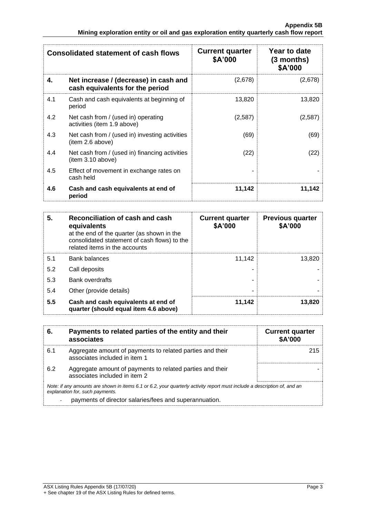|     | <b>Consolidated statement of cash flows</b>                              | <b>Current quarter</b><br>\$A'000 | Year to date<br>$(3$ months)<br>\$A'000 |
|-----|--------------------------------------------------------------------------|-----------------------------------|-----------------------------------------|
| 4.  | Net increase / (decrease) in cash and<br>cash equivalents for the period | (2,678)                           | (2,678)                                 |
| 4.1 | Cash and cash equivalents at beginning of<br>period                      | 13,820                            | 13,820                                  |
| 4.2 | Net cash from / (used in) operating<br>activities (item 1.9 above)       | (2,587)                           | (2,587)                                 |
| 4.3 | Net cash from / (used in) investing activities<br>(item 2.6 above)       | (69)                              | (69)                                    |
| 4.4 | Net cash from / (used in) financing activities<br>(item 3.10 above)      | (22)                              | (22)                                    |
| 4.5 | Effect of movement in exchange rates on<br>cash held                     |                                   |                                         |
| 4.6 | Cash and cash equivalents at end of<br>period                            | 11,142                            | 11,142                                  |

| 5.  | Reconciliation of cash and cash<br>equivalents<br>at the end of the quarter (as shown in the<br>consolidated statement of cash flows) to the<br>related items in the accounts | <b>Current quarter</b><br>\$A'000 | <b>Previous quarter</b><br>\$A'000 |
|-----|-------------------------------------------------------------------------------------------------------------------------------------------------------------------------------|-----------------------------------|------------------------------------|
| 5.1 | <b>Bank balances</b>                                                                                                                                                          | 11.142                            | 13,820                             |
| 5.2 | Call deposits                                                                                                                                                                 |                                   |                                    |
| 5.3 | Bank overdrafts                                                                                                                                                               |                                   |                                    |
| 5.4 | Other (provide details)                                                                                                                                                       |                                   |                                    |
| 5.5 | Cash and cash equivalents at end of<br>quarter (should equal item 4.6 above)                                                                                                  | 11,142                            | 13,820                             |

| 6.             | Payments to related parties of the entity and their<br>associates                                                                                           | <b>Current quarter</b><br><b>\$A'000</b> |
|----------------|-------------------------------------------------------------------------------------------------------------------------------------------------------------|------------------------------------------|
| 6.1            | Aggregate amount of payments to related parties and their<br>associates included in item 1                                                                  | 215                                      |
| 6.2            | Aggregate amount of payments to related parties and their<br>associates included in item 2                                                                  |                                          |
|                | Note: if any amounts are shown in items 6.1 or 6.2, your quarterly activity report must include a description of, and an<br>explanation for, such payments. |                                          |
| $\blacksquare$ | payments of director salaries/fees and superannuation.                                                                                                      |                                          |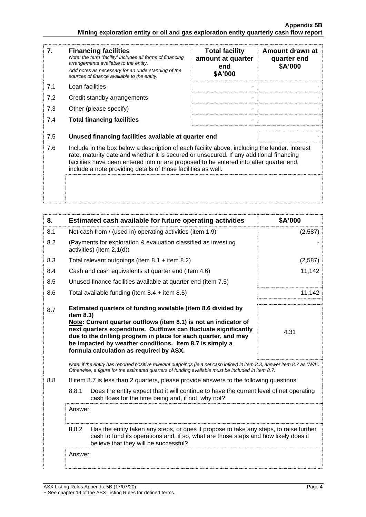| 7.  | <b>Financing facilities</b><br>Note: the term "facility' includes all forms of financing<br>arrangements available to the entity.<br>Add notes as necessary for an understanding of the<br>sources of finance available to the entity.                                                                                                               | <b>Total facility</b><br>amount at quarter<br>end<br>\$A'000 | Amount drawn at<br>quarter end<br>\$A'000 |
|-----|------------------------------------------------------------------------------------------------------------------------------------------------------------------------------------------------------------------------------------------------------------------------------------------------------------------------------------------------------|--------------------------------------------------------------|-------------------------------------------|
| 7.1 | Loan facilities                                                                                                                                                                                                                                                                                                                                      |                                                              |                                           |
| 7.2 | Credit standby arrangements                                                                                                                                                                                                                                                                                                                          |                                                              |                                           |
| 7.3 | Other (please specify)                                                                                                                                                                                                                                                                                                                               |                                                              |                                           |
| 7.4 | <b>Total financing facilities</b>                                                                                                                                                                                                                                                                                                                    |                                                              |                                           |
| 7.5 | Unused financing facilities available at quarter end                                                                                                                                                                                                                                                                                                 |                                                              |                                           |
| 7.6 | Include in the box below a description of each facility above, including the lender, interest<br>rate, maturity date and whether it is secured or unsecured. If any additional financing<br>facilities have been entered into or are proposed to be entered into after quarter end,<br>include a note providing details of those facilities as well. |                                                              |                                           |
|     |                                                                                                                                                                                                                                                                                                                                                      |                                                              |                                           |

| 8.  | Estimated cash available for future operating activities                                                                                                                                                                                                                                                                                                                                 | \$A'000 |
|-----|------------------------------------------------------------------------------------------------------------------------------------------------------------------------------------------------------------------------------------------------------------------------------------------------------------------------------------------------------------------------------------------|---------|
| 8.1 | Net cash from / (used in) operating activities (item 1.9)                                                                                                                                                                                                                                                                                                                                | (2,587) |
| 8.2 | (Payments for exploration & evaluation classified as investing<br>activities) (item 2.1(d))                                                                                                                                                                                                                                                                                              |         |
| 8.3 | Total relevant outgoings (item $8.1 +$ item $8.2$ )                                                                                                                                                                                                                                                                                                                                      | (2,587) |
| 8.4 | Cash and cash equivalents at quarter end (item 4.6)                                                                                                                                                                                                                                                                                                                                      | 11,142  |
| 8.5 | Unused finance facilities available at quarter end (item 7.5)                                                                                                                                                                                                                                                                                                                            |         |
| 8.6 | Total available funding (item $8.4 +$ item $8.5$ )                                                                                                                                                                                                                                                                                                                                       | 11,142  |
| 8.7 | Estimated quarters of funding available (item 8.6 divided by<br>item 8.3)<br>Note: Current quarter outflows (item 8.1) is not an indicator of<br>next quarters expenditure. Outflows can fluctuate significantly<br>due to the drilling program in place for each quarter, and may<br>be impacted by weather conditions. Item 8.7 is simply a<br>formula calculation as required by ASX. | 4.31    |
|     | Note: if the entity has reported positive relevant outgoings (ie a net cash inflow) in item 8.3, answer item 8.7 as "N/A".<br>Otherwise, a figure for the estimated quarters of funding available must be included in item 8.7.                                                                                                                                                          |         |
| 8.8 | If item 8.7 is less than 2 quarters, please provide answers to the following questions:                                                                                                                                                                                                                                                                                                  |         |
|     | 8.8.1<br>Does the entity expect that it will continue to have the current level of net operating<br>cash flows for the time being and, if not, why not?                                                                                                                                                                                                                                  |         |
|     | Answer:                                                                                                                                                                                                                                                                                                                                                                                  |         |
|     | 8.8.2<br>Has the entity taken any steps, or does it propose to take any steps, to raise further<br>cash to fund its operations and, if so, what are those steps and how likely does it<br>believe that they will be successful?                                                                                                                                                          |         |
|     | Answer:                                                                                                                                                                                                                                                                                                                                                                                  |         |